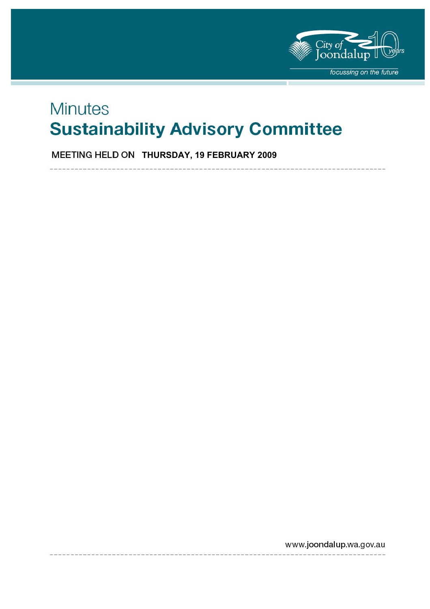

# **Minutes Sustainability Advisory Committee**

**MEETING HELD ON THURSDAY, 19 FEBRUARY 2009** 

www.joondalup.wa.gov.au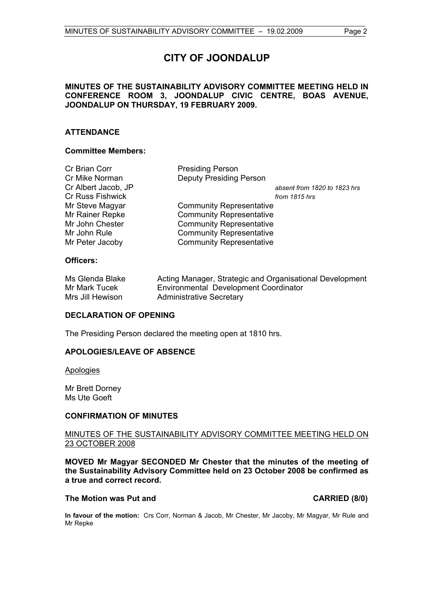# **CITY OF JOONDALUP**

### **MINUTES OF THE SUSTAINABILITY ADVISORY COMMITTEE MEETING HELD IN CONFERENCE ROOM 3, JOONDALUP CIVIC CENTRE, BOAS AVENUE, JOONDALUP ON THURSDAY, 19 FEBRUARY 2009.**

### **ATTENDANCE**

#### **Committee Members:**

| Cr Brian Corr           | <b>Presiding Person</b>         |
|-------------------------|---------------------------------|
| Cr Mike Norman          | <b>Deputy Presiding Person</b>  |
| Cr Albert Jacob, JP     | absent from 1820 to 1823 hrs    |
| <b>Cr Russ Fishwick</b> | from 1815 hrs                   |
| Mr Steve Magyar         | <b>Community Representative</b> |
| Mr Rainer Repke         | <b>Community Representative</b> |
| Mr John Chester         | <b>Community Representative</b> |
| Mr John Rule            | <b>Community Representative</b> |
| Mr Peter Jacoby         | <b>Community Representative</b> |
|                         |                                 |

#### **Officers:**

| Ms Glenda Blake  | Acting Manager, Strategic and Organisational Development |
|------------------|----------------------------------------------------------|
| Mr Mark Tucek    | <b>Environmental Development Coordinator</b>             |
| Mrs Jill Hewison | <b>Administrative Secretary</b>                          |

#### **DECLARATION OF OPENING**

The Presiding Person declared the meeting open at 1810 hrs.

#### **APOLOGIES/LEAVE OF ABSENCE**

**Apologies** 

Mr Brett Dorney Ms Ute Goeft

#### **CONFIRMATION OF MINUTES**

#### MINUTES OF THE SUSTAINABILITY ADVISORY COMMITTEE MEETING HELD ON 23 OCTOBER 2008

**MOVED Mr Magyar SECONDED Mr Chester that the minutes of the meeting of the Sustainability Advisory Committee held on 23 October 2008 be confirmed as a true and correct record.** 

#### The Motion was Put and **CARRIED** (8/0)

**In favour of the motion:** Crs Corr, Norman & Jacob, Mr Chester, Mr Jacoby, Mr Magyar, Mr Rule and Mr Repke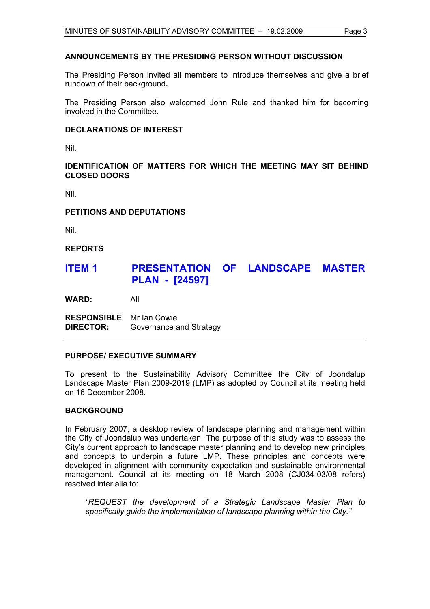#### **ANNOUNCEMENTS BY THE PRESIDING PERSON WITHOUT DISCUSSION**

The Presiding Person invited all members to introduce themselves and give a brief rundown of their background**.** 

The Presiding Person also welcomed John Rule and thanked him for becoming involved in the Committee.

### **DECLARATIONS OF INTEREST**

Nil.

### **IDENTIFICATION OF MATTERS FOR WHICH THE MEETING MAY SIT BEHIND CLOSED DOORS**

Nil.

#### **PETITIONS AND DEPUTATIONS**

Nil.

#### **REPORTS**

# **ITEM 1 PRESENTATION OF LANDSCAPE MASTER PLAN - [24597]**

**WARD:** All

**RESPONSIBLE** Mr Ian Cowie **DIRECTOR:** Governance and Strategy

#### **PURPOSE/ EXECUTIVE SUMMARY**

To present to the Sustainability Advisory Committee the City of Joondalup Landscape Master Plan 2009-2019 (LMP) as adopted by Council at its meeting held on 16 December 2008.

#### **BACKGROUND**

In February 2007, a desktop review of landscape planning and management within the City of Joondalup was undertaken. The purpose of this study was to assess the City's current approach to landscape master planning and to develop new principles and concepts to underpin a future LMP. These principles and concepts were developed in alignment with community expectation and sustainable environmental management. Council at its meeting on 18 March 2008 (CJ034-03/08 refers) resolved inter alia to:

*"REQUEST the development of a Strategic Landscape Master Plan to specifically guide the implementation of landscape planning within the City."*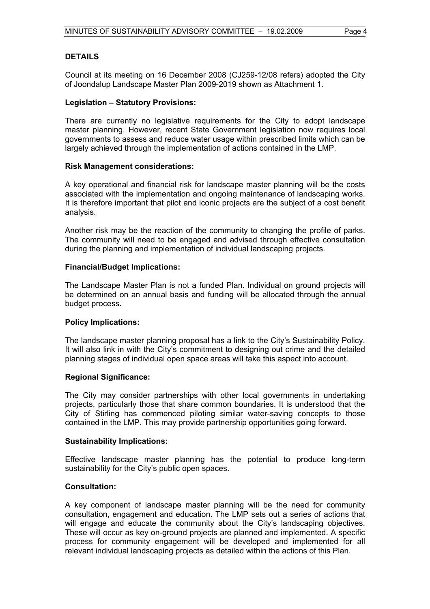### **DETAILS**

Council at its meeting on 16 December 2008 (CJ259-12/08 refers) adopted the City of Joondalup Landscape Master Plan 2009-2019 shown as Attachment 1.

#### **Legislation – Statutory Provisions:**

There are currently no legislative requirements for the City to adopt landscape master planning. However, recent State Government legislation now requires local governments to assess and reduce water usage within prescribed limits which can be largely achieved through the implementation of actions contained in the LMP.

#### **Risk Management considerations:**

A key operational and financial risk for landscape master planning will be the costs associated with the implementation and ongoing maintenance of landscaping works. It is therefore important that pilot and iconic projects are the subject of a cost benefit analysis.

Another risk may be the reaction of the community to changing the profile of parks. The community will need to be engaged and advised through effective consultation during the planning and implementation of individual landscaping projects.

#### **Financial/Budget Implications:**

The Landscape Master Plan is not a funded Plan. Individual on ground projects will be determined on an annual basis and funding will be allocated through the annual budget process.

#### **Policy Implications:**

The landscape master planning proposal has a link to the City's Sustainability Policy. It will also link in with the City's commitment to designing out crime and the detailed planning stages of individual open space areas will take this aspect into account.

#### **Regional Significance:**

The City may consider partnerships with other local governments in undertaking projects, particularly those that share common boundaries. It is understood that the City of Stirling has commenced piloting similar water-saving concepts to those contained in the LMP. This may provide partnership opportunities going forward.

#### **Sustainability Implications:**

Effective landscape master planning has the potential to produce long-term sustainability for the City's public open spaces.

#### **Consultation:**

A key component of landscape master planning will be the need for community consultation, engagement and education. The LMP sets out a series of actions that will engage and educate the community about the City's landscaping objectives. These will occur as key on-ground projects are planned and implemented. A specific process for community engagement will be developed and implemented for all relevant individual landscaping projects as detailed within the actions of this Plan.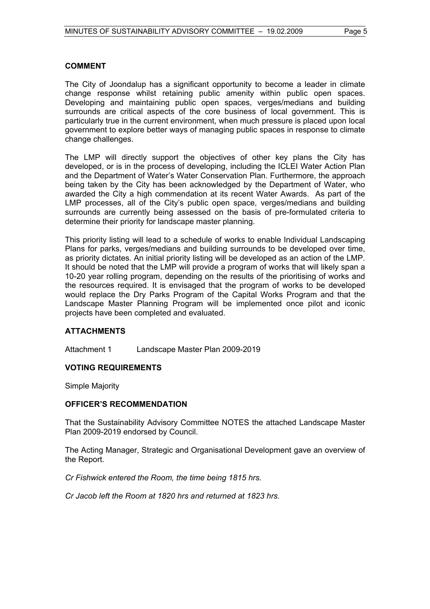### **COMMENT**

The City of Joondalup has a significant opportunity to become a leader in climate change response whilst retaining public amenity within public open spaces. Developing and maintaining public open spaces, verges/medians and building surrounds are critical aspects of the core business of local government. This is particularly true in the current environment, when much pressure is placed upon local government to explore better ways of managing public spaces in response to climate change challenges.

The LMP will directly support the objectives of other key plans the City has developed, or is in the process of developing, including the ICLEI Water Action Plan and the Department of Water's Water Conservation Plan. Furthermore, the approach being taken by the City has been acknowledged by the Department of Water, who awarded the City a high commendation at its recent Water Awards. As part of the LMP processes, all of the City's public open space, verges/medians and building surrounds are currently being assessed on the basis of pre-formulated criteria to determine their priority for landscape master planning.

This priority listing will lead to a schedule of works to enable Individual Landscaping Plans for parks, verges/medians and building surrounds to be developed over time, as priority dictates. An initial priority listing will be developed as an action of the LMP. It should be noted that the LMP will provide a program of works that will likely span a 10-20 year rolling program, depending on the results of the prioritising of works and the resources required. It is envisaged that the program of works to be developed would replace the Dry Parks Program of the Capital Works Program and that the Landscape Master Planning Program will be implemented once pilot and iconic projects have been completed and evaluated.

### **ATTACHMENTS**

Attachment 1 Landscape Master Plan 2009-2019

### **VOTING REQUIREMENTS**

Simple Majority

#### **OFFICER'S RECOMMENDATION**

That the Sustainability Advisory Committee NOTES the attached Landscape Master Plan 2009-2019 endorsed by Council.

The Acting Manager, Strategic and Organisational Development gave an overview of the Report.

*Cr Fishwick entered the Room, the time being 1815 hrs.* 

*Cr Jacob left the Room at 1820 hrs and returned at 1823 hrs.*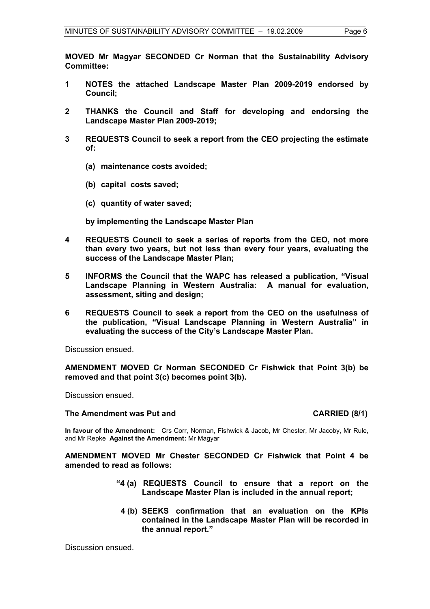**MOVED Mr Magyar SECONDED Cr Norman that the Sustainability Advisory Committee:** 

- **1 NOTES the attached Landscape Master Plan 2009-2019 endorsed by Council;**
- **2 THANKS the Council and Staff for developing and endorsing the Landscape Master Plan 2009-2019;**
- **3 REQUESTS Council to seek a report from the CEO projecting the estimate of:** 
	- **(a) maintenance costs avoided;**
	- **(b) capital costs saved;**
	- **(c) quantity of water saved;**

 **by implementing the Landscape Master Plan** 

- **4 REQUESTS Council to seek a series of reports from the CEO, not more than every two years, but not less than every four years, evaluating the success of the Landscape Master Plan;**
- **5 INFORMS the Council that the WAPC has released a publication, "Visual Landscape Planning in Western Australia: A manual for evaluation, assessment, siting and design;**
- **6 REQUESTS Council to seek a report from the CEO on the usefulness of the publication, "Visual Landscape Planning in Western Australia" in evaluating the success of the City's Landscape Master Plan.**

Discussion ensued.

**AMENDMENT MOVED Cr Norman SECONDED Cr Fishwick that Point 3(b) be removed and that point 3(c) becomes point 3(b).** 

Discussion ensued.

#### The Amendment was Put and **CARRIED** (8/1)

**In favour of the Amendment:** Crs Corr, Norman, Fishwick & Jacob, Mr Chester, Mr Jacoby, Mr Rule, and Mr Repke **Against the Amendment:** Mr Magyar

**AMENDMENT MOVED Mr Chester SECONDED Cr Fishwick that Point 4 be amended to read as follows:** 

- **"4 (a) REQUESTS Council to ensure that a report on the Landscape Master Plan is included in the annual report;** 
	- **4 (b) SEEKS confirmation that an evaluation on the KPIs contained in the Landscape Master Plan will be recorded in the annual report."**

Discussion ensued.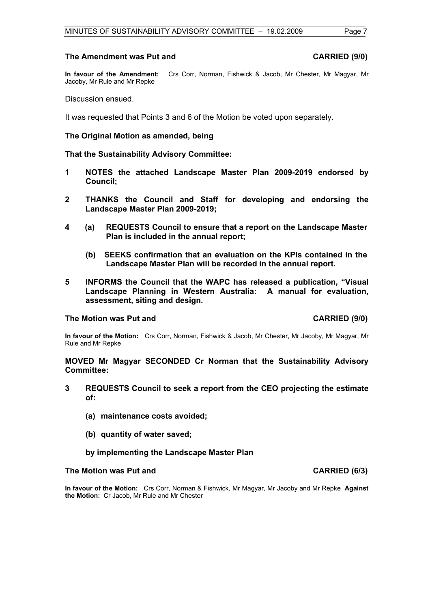#### **The Amendment was Put and CARRIED (9/0) CARRIED (9/0)**

**In favour of the Amendment:** Crs Corr, Norman, Fishwick & Jacob, Mr Chester, Mr Magyar, Mr Jacoby, Mr Rule and Mr Repke

Discussion ensued.

It was requested that Points 3 and 6 of the Motion be voted upon separately.

**The Original Motion as amended, being** 

**That the Sustainability Advisory Committee:** 

- **1 NOTES the attached Landscape Master Plan 2009-2019 endorsed by Council;**
- **2 THANKS the Council and Staff for developing and endorsing the Landscape Master Plan 2009-2019;**
- **4 (a) REQUESTS Council to ensure that a report on the Landscape Master Plan is included in the annual report;** 
	- **(b) SEEKS confirmation that an evaluation on the KPIs contained in the Landscape Master Plan will be recorded in the annual report.**
- **5 INFORMS the Council that the WAPC has released a publication, "Visual Landscape Planning in Western Australia: A manual for evaluation, assessment, siting and design.**

#### **The Motion was Put and CARRIED (9/0)**

**In favour of the Motion:** Crs Corr, Norman, Fishwick & Jacob, Mr Chester, Mr Jacoby, Mr Magyar, Mr Rule and Mr Repke

#### **MOVED Mr Magyar SECONDED Cr Norman that the Sustainability Advisory Committee:**

- **3 REQUESTS Council to seek a report from the CEO projecting the estimate of:** 
	- **(a) maintenance costs avoided;**
	- **(b) quantity of water saved;**
	- **by implementing the Landscape Master Plan**

#### The Motion was Put and **CARRIED** (6/3)

**In favour of the Motion:** Crs Corr, Norman & Fishwick, Mr Magyar, Mr Jacoby and Mr Repke **Against the Motion:** Cr Jacob, Mr Rule and Mr Chester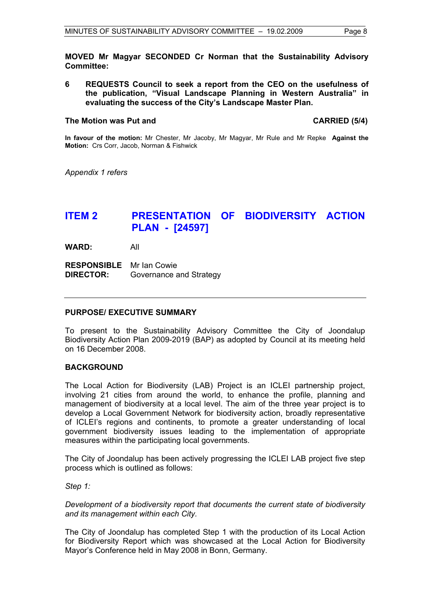**MOVED Mr Magyar SECONDED Cr Norman that the Sustainability Advisory Committee:** 

**6 REQUESTS Council to seek a report from the CEO on the usefulness of the publication, "Visual Landscape Planning in Western Australia" in evaluating the success of the City's Landscape Master Plan.** 

#### The Motion was Put and **CARRIED** (5/4)

**In favour of the motion:** Mr Chester, Mr Jacoby, Mr Magyar, Mr Rule and Mr Repke **Against the Motion:** Crs Corr, Jacob, Norman & Fishwick

*Appendix 1 refers* 

# **ITEM 2 PRESENTATION OF BIODIVERSITY ACTION PLAN - [24597]**

**WARD:** All

**RESPONSIBLE** Mr Ian Cowie **DIRECTOR:** Governance and Strategy

#### **PURPOSE/ EXECUTIVE SUMMARY**

To present to the Sustainability Advisory Committee the City of Joondalup Biodiversity Action Plan 2009-2019 (BAP) as adopted by Council at its meeting held on 16 December 2008.

#### **BACKGROUND**

The Local Action for Biodiversity (LAB) Project is an ICLEI partnership project, involving 21 cities from around the world, to enhance the profile, planning and management of biodiversity at a local level. The aim of the three year project is to develop a Local Government Network for biodiversity action, broadly representative of ICLEI's regions and continents, to promote a greater understanding of local government biodiversity issues leading to the implementation of appropriate measures within the participating local governments.

The City of Joondalup has been actively progressing the ICLEI LAB project five step process which is outlined as follows:

*Step 1:* 

*Development of a biodiversity report that documents the current state of biodiversity and its management within each City.* 

The City of Joondalup has completed Step 1 with the production of its Local Action for Biodiversity Report which was showcased at the Local Action for Biodiversity Mayor's Conference held in May 2008 in Bonn, Germany.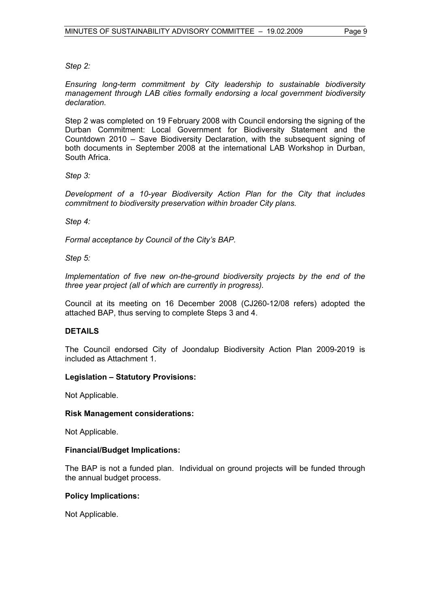*Step 2:* 

*Ensuring long-term commitment by City leadership to sustainable biodiversity management through LAB cities formally endorsing a local government biodiversity declaration.* 

Step 2 was completed on 19 February 2008 with Council endorsing the signing of the Durban Commitment: Local Government for Biodiversity Statement and the Countdown 2010 – Save Biodiversity Declaration, with the subsequent signing of both documents in September 2008 at the international LAB Workshop in Durban, South Africa.

*Step 3:* 

*Development of a 10-year Biodiversity Action Plan for the City that includes commitment to biodiversity preservation within broader City plans.* 

*Step 4:* 

*Formal acceptance by Council of the City's BAP.* 

*Step 5:* 

*Implementation of five new on-the-ground biodiversity projects by the end of the three year project (all of which are currently in progress).* 

Council at its meeting on 16 December 2008 (CJ260-12/08 refers) adopted the attached BAP, thus serving to complete Steps 3 and 4.

### **DETAILS**

The Council endorsed City of Joondalup Biodiversity Action Plan 2009-2019 is included as Attachment 1.

### **Legislation – Statutory Provisions:**

Not Applicable.

#### **Risk Management considerations:**

Not Applicable.

#### **Financial/Budget Implications:**

The BAP is not a funded plan. Individual on ground projects will be funded through the annual budget process.

#### **Policy Implications:**

Not Applicable.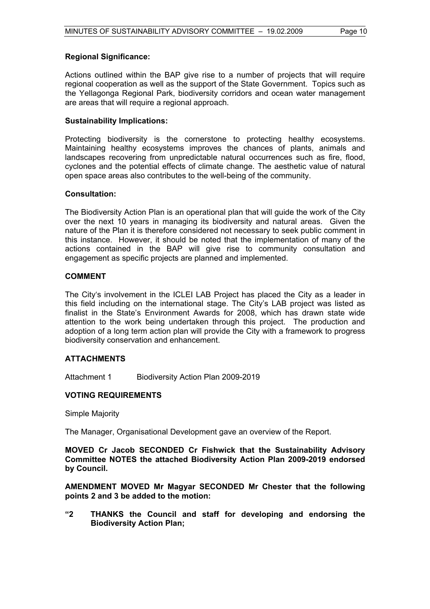#### **Regional Significance:**

Actions outlined within the BAP give rise to a number of projects that will require regional cooperation as well as the support of the State Government. Topics such as the Yellagonga Regional Park, biodiversity corridors and ocean water management are areas that will require a regional approach.

#### **Sustainability Implications:**

Protecting biodiversity is the cornerstone to protecting healthy ecosystems. Maintaining healthy ecosystems improves the chances of plants, animals and landscapes recovering from unpredictable natural occurrences such as fire, flood, cyclones and the potential effects of climate change. The aesthetic value of natural open space areas also contributes to the well-being of the community.

#### **Consultation:**

The Biodiversity Action Plan is an operational plan that will guide the work of the City over the next 10 years in managing its biodiversity and natural areas. Given the nature of the Plan it is therefore considered not necessary to seek public comment in this instance. However, it should be noted that the implementation of many of the actions contained in the BAP will give rise to community consultation and engagement as specific projects are planned and implemented.

#### **COMMENT**

The City's involvement in the ICLEI LAB Project has placed the City as a leader in this field including on the international stage. The City's LAB project was listed as finalist in the State's Environment Awards for 2008, which has drawn state wide attention to the work being undertaken through this project. The production and adoption of a long term action plan will provide the City with a framework to progress biodiversity conservation and enhancement.

#### **ATTACHMENTS**

Attachment 1 Biodiversity Action Plan 2009-2019

#### **VOTING REQUIREMENTS**

Simple Majority

The Manager, Organisational Development gave an overview of the Report.

**MOVED Cr Jacob SECONDED Cr Fishwick that the Sustainability Advisory Committee NOTES the attached Biodiversity Action Plan 2009-2019 endorsed by Council.** 

**AMENDMENT MOVED Mr Magyar SECONDED Mr Chester that the following points 2 and 3 be added to the motion:** 

**"2 THANKS the Council and staff for developing and endorsing the Biodiversity Action Plan;**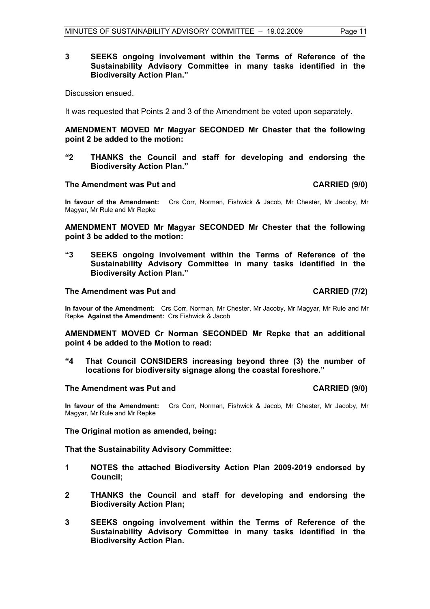#### **3 SEEKS ongoing involvement within the Terms of Reference of the Sustainability Advisory Committee in many tasks identified in the Biodiversity Action Plan."**

Discussion ensued.

It was requested that Points 2 and 3 of the Amendment be voted upon separately.

**AMENDMENT MOVED Mr Magyar SECONDED Mr Chester that the following point 2 be added to the motion:** 

**"2 THANKS the Council and staff for developing and endorsing the Biodiversity Action Plan."** 

#### The Amendment was Put and **CARRIED** (9/0)

**In favour of the Amendment:** Crs Corr, Norman, Fishwick & Jacob, Mr Chester, Mr Jacoby, Mr Magyar, Mr Rule and Mr Repke

**AMENDMENT MOVED Mr Magyar SECONDED Mr Chester that the following point 3 be added to the motion:** 

**"3 SEEKS ongoing involvement within the Terms of Reference of the Sustainability Advisory Committee in many tasks identified in the Biodiversity Action Plan."**

#### The Amendment was Put and **CARRIED** (7/2)

**In favour of the Amendment:** Crs Corr, Norman, Mr Chester, Mr Jacoby, Mr Magyar, Mr Rule and Mr Repke **Against the Amendment:** Crs Fishwick & Jacob

**AMENDMENT MOVED Cr Norman SECONDED Mr Repke that an additional point 4 be added to the Motion to read:** 

**"4 That Council CONSIDERS increasing beyond three (3) the number of locations for biodiversity signage along the coastal foreshore."** 

#### **The Amendment was Put and CARRIED (9/0) CARRIED (9/0)**

**In favour of the Amendment:** Crs Corr, Norman, Fishwick & Jacob, Mr Chester, Mr Jacoby, Mr Magyar, Mr Rule and Mr Repke

**The Original motion as amended, being:** 

**That the Sustainability Advisory Committee:** 

- **1 NOTES the attached Biodiversity Action Plan 2009-2019 endorsed by Council;**
- **2 THANKS the Council and staff for developing and endorsing the Biodiversity Action Plan;**
- **3 SEEKS ongoing involvement within the Terms of Reference of the Sustainability Advisory Committee in many tasks identified in the Biodiversity Action Plan.**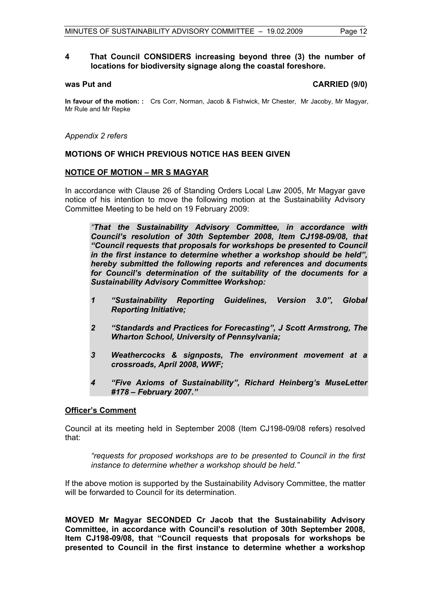#### **4 That Council CONSIDERS increasing beyond three (3) the number of locations for biodiversity signage along the coastal foreshore.**

#### **was Put and CARRIED (9/0)**

**In favour of the motion: :** Crs Corr, Norman, Jacob & Fishwick, Mr Chester, Mr Jacoby, Mr Magyar, Mr Rule and Mr Repke

*Appendix 2 refers*

#### **MOTIONS OF WHICH PREVIOUS NOTICE HAS BEEN GIVEN**

### **NOTICE OF MOTION – MR S MAGYAR**

In accordance with Clause 26 of Standing Orders Local Law 2005, Mr Magyar gave notice of his intention to move the following motion at the Sustainability Advisory Committee Meeting to be held on 19 February 2009:

 *"That the Sustainability Advisory Committee, in accordance with Council's resolution of 30th September 2008, Item CJ198-09/08, that "Council requests that proposals for workshops be presented to Council in the first instance to determine whether a workshop should be held", hereby submitted the following reports and references and documents for Council's determination of the suitability of the documents for a Sustainability Advisory Committee Workshop:* 

- *1 "Sustainability Reporting Guidelines, Version 3.0", Global Reporting Initiative;*
- *2 "Standards and Practices for Forecasting", J Scott Armstrong, The Wharton School, University of Pennsylvania;*
- *3 Weathercocks & signposts, The environment movement at a crossroads, April 2008, WWF;*
- *4 "Five Axioms of Sustainability", Richard Heinberg's MuseLetter #178 – February 2007."*

#### **Officer's Comment**

Council at its meeting held in September 2008 (Item CJ198-09/08 refers) resolved that:

*"requests for proposed workshops are to be presented to Council in the first instance to determine whether a workshop should be held."* 

If the above motion is supported by the Sustainability Advisory Committee, the matter will be forwarded to Council for its determination.

**MOVED Mr Magyar SECONDED Cr Jacob that the Sustainability Advisory Committee, in accordance with Council's resolution of 30th September 2008, Item CJ198-09/08, that "Council requests that proposals for workshops be presented to Council in the first instance to determine whether a workshop**